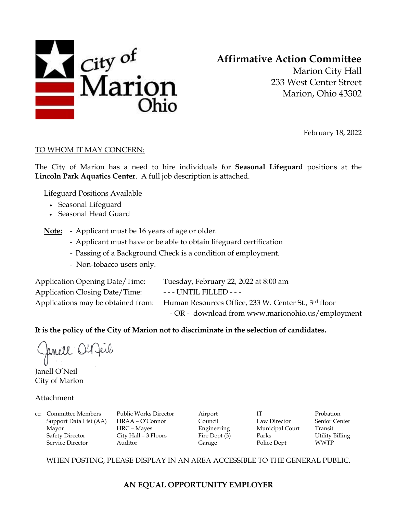

# **Affirmative Action Committee**

Marion City Hall 233 West Center Street Marion, Ohio 43302

February 18, 2022

#### TO WHOM IT MAY CONCERN:

The City of Marion has a need to hire individuals for **Seasonal Lifeguard** positions at the **Lincoln Park Aquatics Center**. A full job description is attached.

Lifeguard Positions Available

- Seasonal Lifeguard
- Seasonal Head Guard

**Note:** - Applicant must be 16 years of age or older.

- Applicant must have or be able to obtain lifeguard certification
- Passing of a Background Check is a condition of employment.
- Non-tobacco users only.

Application Opening Date/Time: Tuesday, February 22, 2022 at 8:00 am Application Closing Date/Time: --- UNTIL FILLED ---Applications may be obtained from: Human Resources Office, 233 W. Center St., 3rd floor - OR - download from www.marionohio.us/employment

#### **It is the policy of the City of Marion not to discriminate in the selection of candidates.**

fancel O'Reil

Janell O'Neil City of Marion

#### Attachment

cc: Committee Members Public Works Director Airport IT Probation Support Data List (AA) HRAA – O'Connor Council Law Director Senior Center Mayor HRC – Mayes Engineering Municipal Court Transit Safety Director City Hall – 3 Floors Fire Dept (3) Parks Utility Billing Service Director **Auditor** Auditor Garage Police Dept WWTP

WHEN POSTING, PLEASE DISPLAY IN AN AREA ACCESSIBLE TO THE GENERAL PUBLIC.

## **AN EQUAL OPPORTUNITY EMPLOYER**